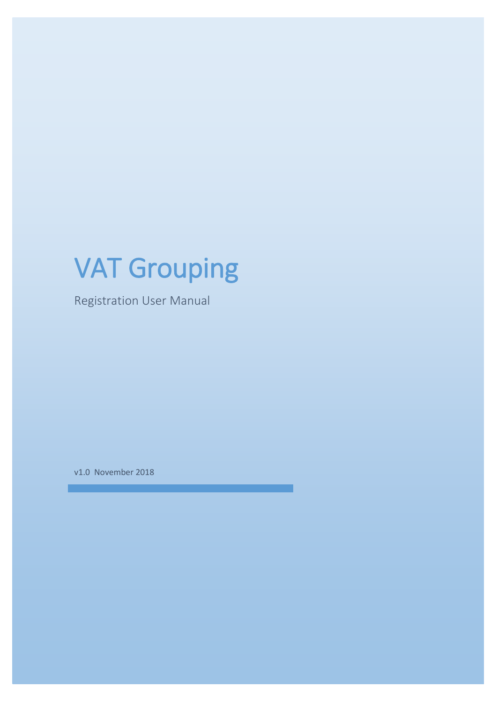# VAT Grouping

Registration User Manual

v1.0 November 2018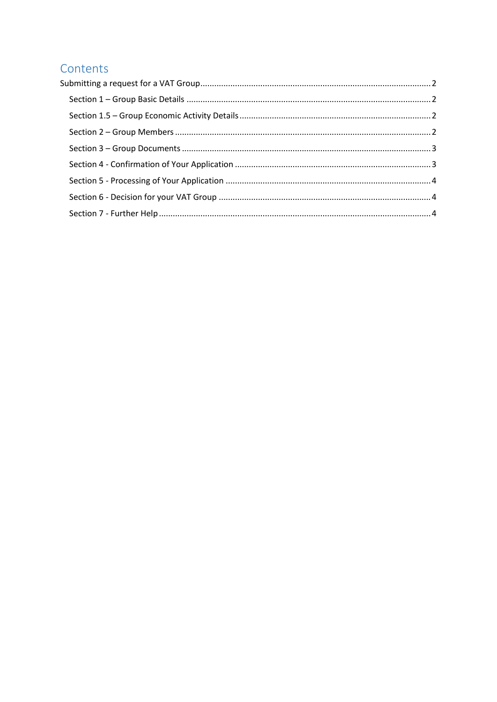## Contents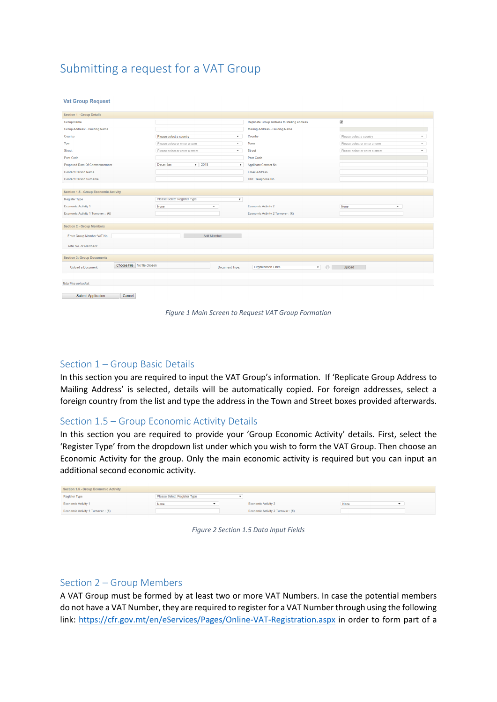## <span id="page-2-0"></span>Submitting a request for a VAT Group

#### **Vat Group Request**

| <b>Section 1 - Group Details</b>                                                                                                       |                                 |                           |                                            |                                                           |  |  |  |
|----------------------------------------------------------------------------------------------------------------------------------------|---------------------------------|---------------------------|--------------------------------------------|-----------------------------------------------------------|--|--|--|
| <b>Group Name</b>                                                                                                                      |                                 |                           | Replicate Group Address to Mailing address | $\blacktriangledown$                                      |  |  |  |
| Group Address: - Building Name                                                                                                         |                                 |                           | Mailing Address - Building Name            |                                                           |  |  |  |
| Country                                                                                                                                | Please select a country         | $\mathbf{v}$              | Country                                    | Please select a country<br>$\overline{\phantom{a}}$       |  |  |  |
| Town                                                                                                                                   | Please select or enter a town   | $\mathbf{v}$              | Town                                       | Please select or enter a town<br>$\overline{\phantom{a}}$ |  |  |  |
| <b>Street</b>                                                                                                                          | Please select or enter a street | $\mathbf{v}$              | <b>Street</b>                              | Please select or enter a street<br>$\mathbf{v}$           |  |  |  |
| Post Code                                                                                                                              |                                 |                           | Post Code                                  |                                                           |  |  |  |
| Proposed Date Of Commencement                                                                                                          | $-2018$<br>December             | $\boldsymbol{\mathrm{v}}$ | <b>Applicant Contact No</b>                |                                                           |  |  |  |
| <b>Contact Person Name</b>                                                                                                             |                                 |                           | <b>Email Address</b>                       |                                                           |  |  |  |
| <b>Contact Person Surname</b>                                                                                                          |                                 |                           | <b>GRE Telephone No</b>                    |                                                           |  |  |  |
|                                                                                                                                        |                                 |                           |                                            |                                                           |  |  |  |
| <b>Section 1.5 - Group Economic Activity</b>                                                                                           |                                 |                           |                                            |                                                           |  |  |  |
| <b>Register Type</b>                                                                                                                   | Please Select Register Type     | $\boldsymbol{\mathrm{v}}$ |                                            |                                                           |  |  |  |
| Economic Activity 1                                                                                                                    | None<br>$\blacktriangledown$    |                           | <b>Economic Activity 2</b>                 | None<br>$\checkmark$                                      |  |  |  |
| Economic Activity 1 Turnover: : (€)                                                                                                    |                                 |                           | Economic Activity 2 Turnover : (€)         |                                                           |  |  |  |
|                                                                                                                                        |                                 |                           |                                            |                                                           |  |  |  |
| <b>Section 2 - Group Members</b>                                                                                                       |                                 |                           |                                            |                                                           |  |  |  |
| Enter Group Member VAT No                                                                                                              | Add Member                      |                           |                                            |                                                           |  |  |  |
| Total No. of Members:                                                                                                                  |                                 |                           |                                            |                                                           |  |  |  |
| <b>Section 3: Group Documents</b>                                                                                                      |                                 |                           |                                            |                                                           |  |  |  |
| Choose File No file chosen<br>$\mathbf{v} = \mathbf{0}$<br><b>Organization Links</b><br>Upload a Document:<br>Upload<br>Document Type: |                                 |                           |                                            |                                                           |  |  |  |
| Total files uploaded:                                                                                                                  |                                 |                           |                                            |                                                           |  |  |  |
|                                                                                                                                        |                                 |                           |                                            |                                                           |  |  |  |

Submit Application Cancel

*Figure 1 Main Screen to Request VAT Group Formation*

#### <span id="page-2-1"></span>Section 1 – Group Basic Details

In this section you are required to input the VAT Group's information. If 'Replicate Group Address to Mailing Address' is selected, details will be automatically copied. For foreign addresses, select a foreign country from the list and type the address in the Town and Street boxes provided afterwards.

#### <span id="page-2-2"></span>Section 1.5 – Group Economic Activity Details

In this section you are required to provide your 'Group Economic Activity' details. First, select the 'Register Type' from the dropdown list under which you wish to form the VAT Group. Then choose an Economic Activity for the group. Only the main economic activity is required but you can input an additional second economic activity.

| Section 1.5 - Group Economic Activity |                             |  |                                     |      |  |  |  |
|---------------------------------------|-----------------------------|--|-------------------------------------|------|--|--|--|
| Register Type                         | Please Select Register Type |  |                                     |      |  |  |  |
| <b>Economic Activity 1</b>            | None                        |  | Economic Activity 2                 | None |  |  |  |
| Economic Activity 1 Turnover: : $(E)$ |                             |  | Economic Activity 2 Turnover: $(E)$ |      |  |  |  |

*Figure 2 Section 1.5 Data Input Fields*

#### <span id="page-2-3"></span>Section 2 – Group Members

A VAT Group must be formed by at least two or more VAT Numbers. In case the potential members do not have a VAT Number, they are required to register for a VAT Number through using the following link:<https://cfr.gov.mt/en/eServices/Pages/Online-VAT-Registration.aspx> in order to form part of a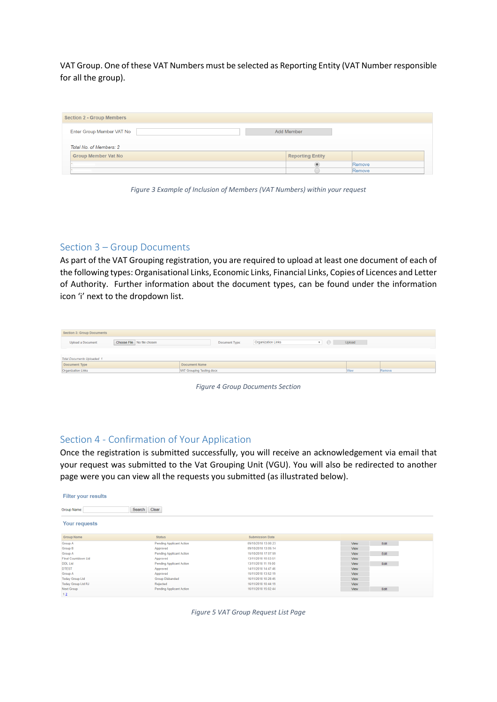VAT Group. One of these VAT Numbers must be selected as Reporting Entity (VAT Number responsible for all the group).

| <b>Section 2 - Group Members</b> |                         |        |  |  |  |  |  |  |  |
|----------------------------------|-------------------------|--------|--|--|--|--|--|--|--|
| Enter Group Member VAT No        | Add Member              |        |  |  |  |  |  |  |  |
| Total No. of Members: 2          |                         |        |  |  |  |  |  |  |  |
| <b>Group Member Vat No</b>       | <b>Reporting Entity</b> |        |  |  |  |  |  |  |  |
| the company of the company       |                         | Remove |  |  |  |  |  |  |  |
|                                  |                         | Remove |  |  |  |  |  |  |  |

*Figure 3 Example of Inclusion of Members (VAT Numbers) within your request*

#### <span id="page-3-0"></span>Section 3 – Group Documents

As part of the VAT Grouping registration, you are required to upload at least one document of each of the following types: Organisational Links, Economic Links, Financial Links, Copies of Licences and Letter of Authority. Further information about the document types, can be found under the information icon 'i' next to the dropdown list.

| <b>Section 3: Group Documents</b> |                            |                           |                           |                         |        |  |
|-----------------------------------|----------------------------|---------------------------|---------------------------|-------------------------|--------|--|
| <b>Upload a Document:</b>         | Choose File No file chosen | Document Type:            | <b>Organization Links</b> | $\mathbf{v}$<br>$-0.11$ | Upload |  |
|                                   |                            |                           |                           |                         |        |  |
| Total Documents Uploaded: 1       |                            |                           |                           |                         |        |  |
| Document Type                     |                            | <b>Document Name</b>      |                           |                         |        |  |
| Organization Links                |                            | VAT Grouping Testing.docx | View                      | Remove                  |        |  |
|                                   |                            |                           |                           |                         |        |  |
|                                   |                            |                           |                           |                         |        |  |



#### <span id="page-3-1"></span>Section 4 - Confirmation of Your Application

Once the registration is submitted successfully, you will receive an acknowledgement via email that your request was submitted to the Vat Grouping Unit (VGU). You will also be redirected to another page were you can view all the requests you submitted (as illustrated below).

| <b>Filter your results</b> |                                 |                        |              |  |  |  |  |
|----------------------------|---------------------------------|------------------------|--------------|--|--|--|--|
| Group Name:                | Clear<br>Search                 |                        |              |  |  |  |  |
| <b>Your requests</b>       |                                 |                        |              |  |  |  |  |
| <b>Group Name</b>          | <b>Status</b>                   | <b>Submission Date</b> |              |  |  |  |  |
| <b>Group A</b>             | <b>Pending Applicant Action</b> | 09/10/2018 13:00:23    | Edit<br>View |  |  |  |  |
| <b>Group B</b>             | Approved                        | 09/10/2018 13:05:14    | View         |  |  |  |  |
| <b>Group A</b>             | <b>Pending Applicant Action</b> | 15/10/2018 17:07:59    | Edit<br>View |  |  |  |  |
| Final Countdown Ltd        | Approved                        | 13/11/2018 10:53:51    | View         |  |  |  |  |
| <b>DDL Ltd</b>             | <b>Pending Applicant Action</b> | 13/11/2018 11:19:00    | Edit<br>View |  |  |  |  |
| <b>DTEST</b>               | Approved                        | 14/11/2018 14:47:46    | View         |  |  |  |  |
| Group A                    | Approved                        | 15/11/2018 13:52:19    | View         |  |  |  |  |
| <b>Today Group Ltd</b>     | <b>Group Disbanded</b>          | 16/11/2018 10:28:45    | View         |  |  |  |  |
| <b>Today Group Ltd RJ</b>  | Rejected                        | 16/11/2018 10:44:19    | View         |  |  |  |  |
| <b>Next Group</b>          | <b>Pending Applicant Action</b> | 16/11/2018 15:02:44    | Edit<br>View |  |  |  |  |
| 12                         |                                 |                        |              |  |  |  |  |

*Figure 5 VAT Group Request List Page*